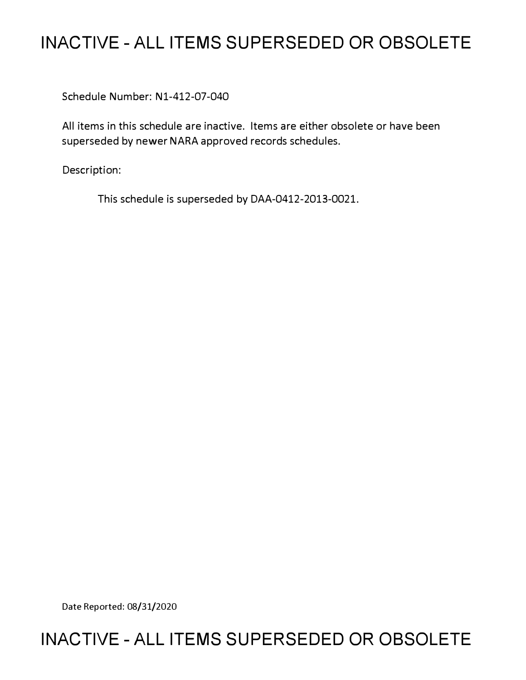# **INACTIVE - ALL ITEMS SUPERSEDED OR OBSOLETE**

Schedule Number: Nl-412-07-040

All items in this schedule are inactive. Items are either obsolete or have been superseded by newer NARA approved records schedules.

Description:

This schedule is superseded by DAA-0412-2013-0021.

Date Reported: 08/31/2020

# **INACTIVE - ALL ITEMS SUPERSEDED OR OBSOLETE**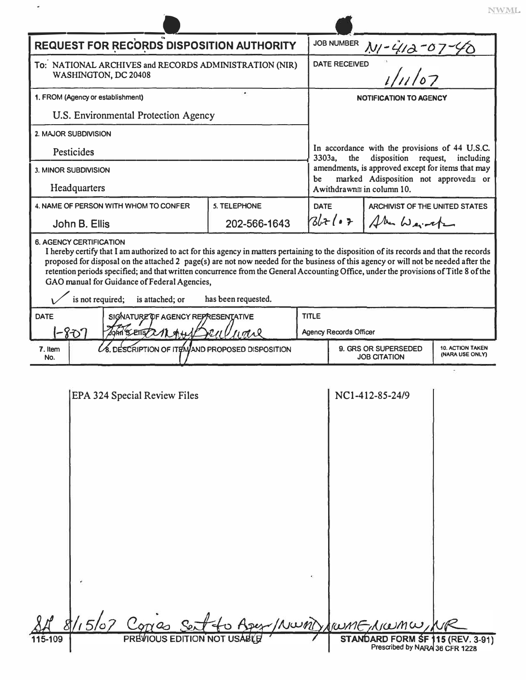|                                                                                |                                                                                                                                                                                                                                                                                                                                                                                                                                                                                            |                     |             |                                                                                                                                                                                                   |                                | NV                                         |  |
|--------------------------------------------------------------------------------|--------------------------------------------------------------------------------------------------------------------------------------------------------------------------------------------------------------------------------------------------------------------------------------------------------------------------------------------------------------------------------------------------------------------------------------------------------------------------------------------|---------------------|-------------|---------------------------------------------------------------------------------------------------------------------------------------------------------------------------------------------------|--------------------------------|--------------------------------------------|--|
| <b>REQUEST FOR RECORDS DISPOSITION AUTHORITY</b>                               |                                                                                                                                                                                                                                                                                                                                                                                                                                                                                            |                     |             | <b>JOB NUMBER</b>                                                                                                                                                                                 |                                |                                            |  |
| To: NATIONAL ARCHIVES and RECORDS ADMINISTRATION (NIR)<br>WASHINGTON, DC 20408 |                                                                                                                                                                                                                                                                                                                                                                                                                                                                                            |                     |             | $\frac{N_1 - 412 - 07}{\frac{D}{1}}$<br><b>DATE RECEIVED</b>                                                                                                                                      |                                |                                            |  |
| ٠<br>1. FROM (Agency or establishment)                                         |                                                                                                                                                                                                                                                                                                                                                                                                                                                                                            |                     |             | <b>NOTIFICATION TO AGENCY</b>                                                                                                                                                                     |                                |                                            |  |
| U.S. Environmental Protection Agency                                           |                                                                                                                                                                                                                                                                                                                                                                                                                                                                                            |                     |             |                                                                                                                                                                                                   |                                |                                            |  |
| 2. MAJOR SUBDIVISION                                                           |                                                                                                                                                                                                                                                                                                                                                                                                                                                                                            |                     |             |                                                                                                                                                                                                   |                                |                                            |  |
| Pesticides                                                                     |                                                                                                                                                                                                                                                                                                                                                                                                                                                                                            |                     |             | In accordance with the provisions of 44 U.S.C.<br>3303a,<br>the<br>disposition request,<br>including<br>amendments, is approved except for items that may<br>marked Adisposition not approved≆ or |                                |                                            |  |
| 3. MINOR SUBDIVISION                                                           |                                                                                                                                                                                                                                                                                                                                                                                                                                                                                            |                     | be          |                                                                                                                                                                                                   |                                |                                            |  |
| Headquarters                                                                   |                                                                                                                                                                                                                                                                                                                                                                                                                                                                                            |                     |             | Awithdrawn≅ in column 10.                                                                                                                                                                         |                                |                                            |  |
| 4. NAME OF PERSON WITH WHOM TO CONFER                                          |                                                                                                                                                                                                                                                                                                                                                                                                                                                                                            | 5. TELEPHONE        | <b>DATE</b> |                                                                                                                                                                                                   | ARCHIVIST OF THE UNITED STATES |                                            |  |
| John B. Ellis                                                                  |                                                                                                                                                                                                                                                                                                                                                                                                                                                                                            | 202-566-1643        |             | $31 + (07$                                                                                                                                                                                        | Alu Weite                      |                                            |  |
| is not required;                                                               | I hereby certify that I am authorized to act for this agency in matters pertaining to the disposition of its records and that the records<br>proposed for disposal on the attached 2 page(s) are not now needed for the business of this agency or will not be needed after the<br>retention periods specified; and that written concurrence from the General Accounting Office, under the provisions of Title 8 of the<br>GAO manual for Guidance of Federal Agencies,<br>is attached; or | has been requested. |             |                                                                                                                                                                                                   |                                |                                            |  |
| <b>DATE</b>                                                                    | <b>TITLE</b>                                                                                                                                                                                                                                                                                                                                                                                                                                                                               |                     |             |                                                                                                                                                                                                   |                                |                                            |  |
| SIGNATURE OF AGENCY REPRESENTATIVE<br>-807<br>John BETTS/21244                 |                                                                                                                                                                                                                                                                                                                                                                                                                                                                                            |                     |             | <b>Agency Records Officer</b>                                                                                                                                                                     |                                |                                            |  |
| 7. Item<br>No.                                                                 | <b>8. DESCRIPTION OF ITEMAND PROPOSED DISPOSITION</b>                                                                                                                                                                                                                                                                                                                                                                                                                                      |                     |             | 9. GRS OR SUPERSEDED<br><b>JOB CITATION</b>                                                                                                                                                       |                                | <b>10. ACTION TAKEN</b><br>(NARA USE ONLY) |  |
|                                                                                | EPA 324 Special Review Files                                                                                                                                                                                                                                                                                                                                                                                                                                                               |                     |             |                                                                                                                                                                                                   | NC1-412-85-24/9                |                                            |  |

|         |  | 8/15/07 Corres Set to Aser/Numb/rumE/Numu/NR |                                                                    |  |
|---------|--|----------------------------------------------|--------------------------------------------------------------------|--|
| 115-109 |  | PREVIOUS EDITION NOT USABLE                  | STANDARD FORM SF 115 (REV. 3-91)<br>Prescribed by NARA 36 CFR 1228 |  |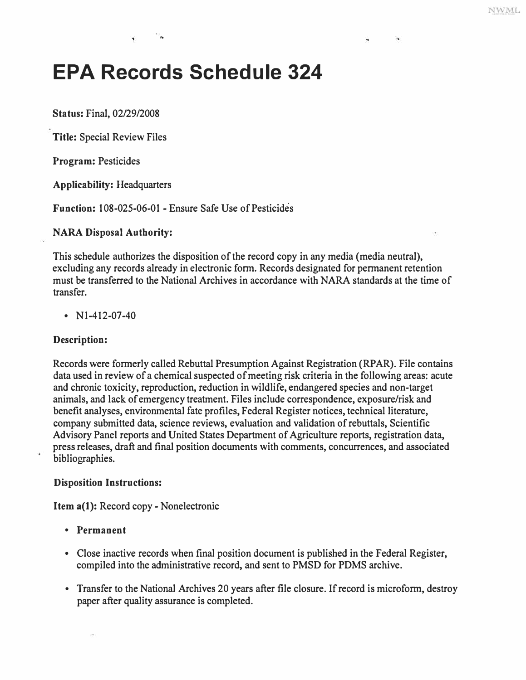..

# **EPA Records Schedule 324**

**Status:** Final, 02/29/2008

**Title:** Special Review Files

**Program:** Pesticides

**Applicability:** Headquarters

**Function:** 108-025-06-01 - Ensure Safe Use of Pesticides

#### **NARA Disposal Authority:**

This schedule authorizes the disposition of the record copy in any media (media neutral), excluding any records already in electronic form. Records designated for permanent retention must be transferred to the National Archives in accordance with NARA standards at the time of transfer.

•  $N1-412-07-40$ 

## **Description:**

Records were formerly called Rebuttal Presumption Against Registration (RPAR). File contains data used in review of a chemical suspected of meeting risk criteria in the following areas: acute and chronic toxicity, reproduction, reduction in wildlife, endangered species and non-target animals, and lack of emergency treatment. Files include correspondence, exposure/risk and benefit analyses, environmental fate profiles, Federal Register notices, technical literature, company submitted data, science reviews, evaluation and validation of rebuttals, Scientific Advisory Panel reports and United States Department of Agriculture reports, registration data, press releases, draft and final position documents with comments, concurrences, and associated bibliographies.

#### **Disposition Instructions:**

**Item a(l):** Record copy- Nonelectronic

- **Permanent**
- Close inactive records when final position document is published in the Federal Register, compiled into the administrative record, and sent to PMSD for PDMS archive.
- Transfer to the National Archives 20 years after file closure. If record is microform, destroy paper after quality assurance is completed.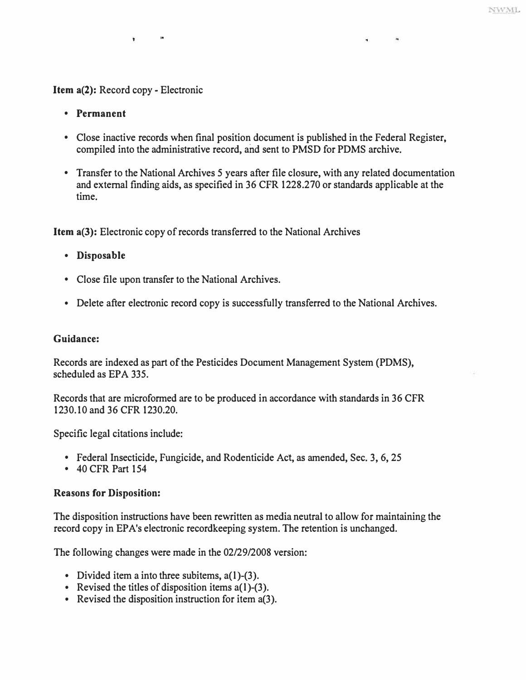# **Item a(2): Record copy - Electronic**

,.

- **Permanent**
- **Close inactive records when final position document is published in the Federal Register, compiled into the administrative record, and sent to PMSD for PDMS archive.**
- **Transfer to the National Archives 5 years after file closure, with any related documentation and external finding aids, as specified in 36 CFR 1228.270 or standards applicable at the time.**

**Item a(3): Electronic copy of records transferred to the National Archives** 

- **Disposable**
- **Close file upon transfer to the National Archives.**
- **Delete after electronic record copy is successfully transferred to the National Archives.**

### **Guidance:**

**Records are indexed as part of the Pesticides Document Management System (PDMS), scheduled as EPA 335.** 

**Records that are microformed are to be produced in accordance with standards in 36 CFR 1230.10 and 36 CFR 1230.20.** 

**Specific legal citations include:** 

- **Federal Insecticide, Fungicide, and Rodenticide Act, as amended, Sec. 3, 6, 25 40 CFR Part 154**
- 

## **Reasons for Disposition:**

**The disposition instructions have been rewritten as media neutral to allow for maintaining the**  record copy in EPA's electronic recordkeeping system. The retention is unchanged.

**The following changes were made in the 02/29/2008 version:** 

- 
- **Divided item a into three subitems, a(l)-(3). Revised the titles of disposition items a(l)-(3). Revised the disposition instruction for item a(3).**
-